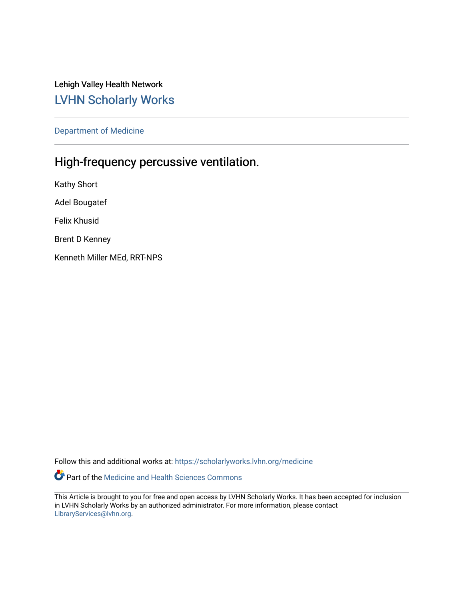Lehigh Valley Health Network [LVHN Scholarly Works](https://scholarlyworks.lvhn.org/)

[Department of Medicine](https://scholarlyworks.lvhn.org/medicine) 

## High-frequency percussive ventilation.

Kathy Short Adel Bougatef Felix Khusid Brent D Kenney Kenneth Miller MEd, RRT-NPS

Follow this and additional works at: [https://scholarlyworks.lvhn.org/medicine](https://scholarlyworks.lvhn.org/medicine?utm_source=scholarlyworks.lvhn.org%2Fmedicine%2F1973&utm_medium=PDF&utm_campaign=PDFCoverPages) 

Part of the [Medicine and Health Sciences Commons](http://network.bepress.com/hgg/discipline/648?utm_source=scholarlyworks.lvhn.org%2Fmedicine%2F1973&utm_medium=PDF&utm_campaign=PDFCoverPages) 

This Article is brought to you for free and open access by LVHN Scholarly Works. It has been accepted for inclusion in LVHN Scholarly Works by an authorized administrator. For more information, please contact [LibraryServices@lvhn.org](mailto:LibraryServices@lvhn.org).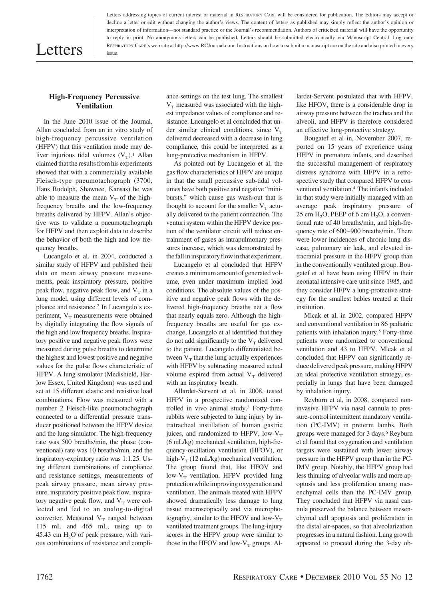# Letters

Letters addressing topics of current interest or material in RESPIRATORY CARE will be considered for publication. The Editors may accept or decline a letter or edit without changing the author's views. The content of letters as published may simply reflect the author's opinion or interpretation of information—not standard practice or the Journal's recommendation. Authors of criticized material will have the opportunity to reply in print. No anonymous letters can be published. Letters should be submitted electronically via Manuscript Central. Log onto RESPIRATORY CARE's web site at http://www.RCJournal.com. Instructions on how to submit a manuscript are on the site and also printed in every issue.

### **High-Frequency Percussive Ventilation**

In the June 2010 issue of the Journal, Allan concluded from an in vitro study of high-frequency percussive ventilation (HFPV) that this ventilation mode may deliver injurious tidal volumes  $(V_T)^1$ . Allan claimed that the results from his experiments showed that with a commercially available Fleisch-type pneumotachograph (3700, Hans Rudolph, Shawnee, Kansas) he was able to measure the mean  $V_T$  of the highfrequency breaths and the low-frequency breaths delivered by HFPV. Allan's objective was to validate a pneumotachograph for HFPV and then exploit data to describe the behavior of both the high and low frequency breaths.

Lucangelo et al, in 2004, conducted a similar study of HFPV and published their data on mean airway pressure measurements, peak inspiratory pressure, positive peak flow, negative peak flow, and  $V_T$  in a lung model, using different levels of compliance and resistance.2 In Lucangelo's experiment,  $V_T$  measurements were obtained by digitally integrating the flow signals of the high and low frequency breaths. Inspiratory positive and negative peak flows were measured during pulse breaths to determine the highest and lowest positive and negative values for the pulse flows characteristic of HFPV. A lung simulator (Medishield, Harlow Essex, United Kingdom) was used and set at 15 different elastic and resistive load combinations. Flow was measured with a number 2 Fleisch-like pneumotachograph connected to a differential pressure transducer positioned between the HFPV device and the lung simulator. The high-frequency rate was 500 breaths/min, the phase (conventional) rate was 10 breaths/min, and the inspiratory-expiratory ratio was 1:1.25. Using different combinations of compliance and resistance settings, measurements of peak airway pressure, mean airway pressure, inspiratory positive peak flow, inspiratory negative peak flow, and  $V_T$  were collected and fed to an analog-to-digital converter. Measured  $V_T$  ranged between 115 mL and 465 mL, using up to 45.43 cm  $H<sub>2</sub>O$  of peak pressure, with various combinations of resistance and compliance settings on the test lung. The smallest  $V<sub>T</sub>$  measured was associated with the highest impedance values of compliance and resistance. Lucangelo et al concluded that under similar clinical conditions, since  $V_T$ delivered decreased with a decrease in lung compliance, this could be interpreted as a lung-protective mechanism in HFPV.

As pointed out by Lucangelo et al, the gas flow characteristics of HFPV are unique in that the small percussive sub-tidal volumes have both positive and negative "minibursts," which cause gas wash-out that is thought to account for the smaller  $V_T$  actually delivered to the patient connection. The venturi system within the HFPV device portion of the ventilator circuit will reduce entrainment of gases as intrapulmonary pressures increase, which was demonstrated by the fall in inspiratory flow in that experiment.

Lucangelo et al concluded that HFPV creates a minimum amount of generated volume, even under maximum implied load conditions. The absolute values of the positive and negative peak flows with the delivered high-frequency breaths net a flow that nearly equals zero. Although the highfrequency breaths are useful for gas exchange, Lucangelo et al identified that they do not add significantly to the  $V_T$  delivered to the patient. Lucangelo differentiated between  $V_T$  that the lung actually experiences with HFPV by subtracting measured actual volume expired from actual  $V_T$  delivered with an inspiratory breath.

Allardet-Servent et al, in 2008, tested HFPV in a prospective randomized controlled in vivo animal study.3 Forty-three rabbits were subjected to lung injury by intratracheal instillation of human gastric juices, and randomized to HFPV, low- $V_T$ (6 mL/kg) mechanical ventilation, high-frequency-oscillation ventilation (HFOV), or high- $V_T$  (12 mL/kg) mechanical ventilation. The group found that, like HFOV and low- $V_T$  ventilation, HFPV provided lung protection while improving oxygenation and ventilation. The animals treated with HFPV showed dramatically less damage to lung tissue macroscopically and via microphotography, similar to the HFOV and low- $V<sub>T</sub>$ ventilated treatment groups. The lung-injury scores in the HFPV group were similar to those in the HFOV and low- $V_T$  groups. Allardet-Servent postulated that with HFPV, like HFOV, there is a considerable drop in airway pressure between the trachea and the alveoli, and HFPV is therefore considered an effective lung-protective strategy.

Bougatef et al in, November 2007, reported on 15 years of experience using HFPV in premature infants, and described the successful management of respiratory distress syndrome with HFPV in a retrospective study that compared HFPV to conventional ventilation.4 The infants included in that study were initially managed with an average peak inspiratory pressure of  $25 \text{ cm H}_2$ O, PEEP of 6 cm H<sub>2</sub>O, a conventional rate of 40 breaths/min, and high-frequency rate of 600 –900 breaths/min. There were lower incidences of chronic lung disease, pulmonary air leak, and elevated intracranial pressure in the HFPV group than in the conventionally ventilated group. Bougatef et al have been using HFPV in their neonatal intensive care unit since 1985, and they consider HFPV a lung-protective strategy for the smallest babies treated at their institution.

Mlcak et al, in 2002, compared HFPV and conventional ventilation in 86 pediatric patients with inhalation injury.5 Forty-three patients were randomized to conventional ventilation and 43 to HFPV. Mlcak et al concluded that HFPV can significantly reduce delivered peak pressure, making HFPV an ideal protective ventilation strategy, especially in lungs that have been damaged by inhalation injury.

Reyburn et al, in 2008, compared noninvasive HFPV via nasal cannula to pressure-control intermittent mandatory ventilation (PC-IMV) in preterm lambs. Both groups were managed for 3 days.6 Reyburn et al found that oxygenation and ventilation targets were sustained with lower airway pressure in the HFPV group than in the PC-IMV group. Notably, the HFPV group had less thinning of alveolar walls and more apoptosis and less proliferation among mesenchymal cells than the PC-IMV group. They concluded that HFPV via nasal cannula preserved the balance between mesenchymal cell apoptosis and proliferation in the distal air-spaces, so that alveolarization progresses in a natural fashion. Lung growth appeared to proceed during the 3-day ob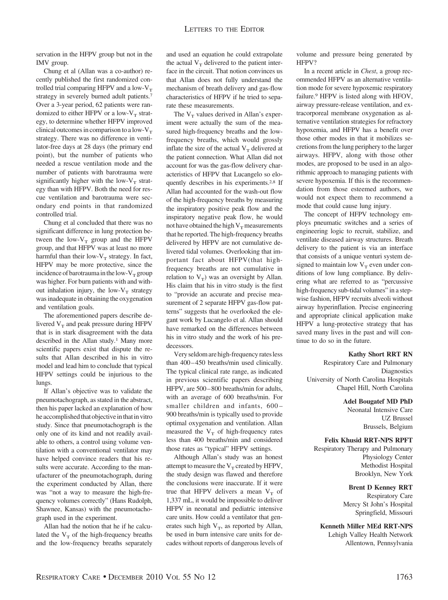servation in the HFPV group but not in the IMV group.

Chung et al (Allan was a co-author) recently published the first randomized controlled trial comparing HFPV and a low- $V<sub>T</sub>$ strategy in severely burned adult patients.7 Over a 3-year period, 62 patients were randomized to either HFPV or a low- $V_T$  strategy, to determine whether HFPV improved clinical outcomes in comparison to a low- $V<sub>T</sub>$ strategy. There was no difference in ventilator-free days at 28 days (the primary end point), but the number of patients who needed a rescue ventilation mode and the number of patients with barotrauma were significantly higher with the low- $V_T$  strategy than with HFPV. Both the need for rescue ventilation and barotrauma were secondary end points in that randomized controlled trial.

Chung et al concluded that there was no significant difference in lung protection between the low- $V_T$  group and the HFPV group, and that HFPV was at least no more harmful than their low- $V_T$  strategy. In fact, HFPV may be more protective, since the incidence of barotrauma in the low- $V_T$  group was higher. For burn patients with and without inhalation injury, the low- $V_T$  strategy was inadequate in obtaining the oxygenation and ventilation goals.

The aforementioned papers describe delivered  $V_T$  and peak pressure during HFPV that is in stark disagreement with the data described in the Allan study.<sup>1</sup> Many more scientific papers exist that dispute the results that Allan described in his in vitro model and lead him to conclude that typical HFPV settings could be injurious to the lungs.

If Allan's objective was to validate the pneumotachograph, as stated in the abstract, then his paper lacked an explanation of how he accomplished that objective in that in vitro study. Since that pneumotachograph is the only one of its kind and not readily available to others, a control using volume ventilation with a conventional ventilator may have helped convince readers that his results were accurate. According to the manufacturer of the pneumotachograph, during the experiment conducted by Allan, there was "not a way to measure the high-frequency volumes correctly" (Hans Rudolph, Shawnee, Kansas) with the pneumotachograph used in the experiment.

Allan had the notion that he if he calculated the  $V_T$  of the high-frequency breaths and the low-frequency breaths separately and used an equation he could extrapolate the actual  $V_T$  delivered to the patient interface in the circuit. That notion convinces us that Allan does not fully understand the mechanism of breath delivery and gas-flow characteristics of HFPV if he tried to separate these measurements.

The  $V_T$  values derived in Allan's experiment were actually the sum of the measured high-frequency breaths and the lowfrequency breaths, which would grossly inflate the size of the actual  $V_T$  delivered at the patient connection. What Allan did not account for was the gas-flow delivery characteristics of HFPV that Lucangelo so eloquently describes in his experiments.2,8 If Allan had accounted for the wash-out flow of the high-frequency breaths by measuring the inspiratory positive peak flow and the inspiratory negative peak flow, he would not have obtained the high  $V_T$  measurements that he reported. The high-frequency breaths delivered by HFPV are not cumulative delivered tidal volumes. Overlooking that important fact about HFPV(that highfrequency breaths are not cumulative in relation to  $V_T$ ) was an oversight by Allan. His claim that his in vitro study is the first to "provide an accurate and precise measurement of 2 separate HFPV gas-flow patterns" suggests that he overlooked the elegant work by Lucangelo et al. Allan should have remarked on the differences between his in vitro study and the work of his predecessors.

Very seldom are high-frequency ratesless than 400-450 breaths/min used clinically. The typical clinical rate range, as indicated in previous scientific papers describing HFPV, are 500 – 800 breaths/min for adults, with an average of 600 breaths/min. For smaller children and infants, 600 – 900 breaths/min is typically used to provide optimal oxygenation and ventilation. Allan measured the  $V_T$  of high-frequency rates less than 400 breaths/min and considered those rates as "typical" HFPV settings.

Although Allan's study was an honest attempt to measure the  $V_T$  created by HFPV, the study design was flawed and therefore the conclusions were inaccurate. If it were true that HFPV delivers a mean  $V_T$  of 1,337 mL, it would be impossible to deliver HFPV in neonatal and pediatric intensive care units. How could a ventilator that generates such high  $V_T$ , as reported by Allan, be used in burn intensive care units for decades without reports of dangerous levels of volume and pressure being generated by HFPV?

In a recent article in *Chest*, a group recommended HFPV as an alternative ventilation mode for severe hypoxemic respiratory failure.9 HFPV is listed along with HFOV, airway pressure-release ventilation, and extracorporeal membrane oxygenation as alternative ventilation strategies for refractory hypoxemia, and HFPV has a benefit over those other modes in that it mobilizes secretions from the lung periphery to the larger airways. HFPV, along with those other modes, are proposed to be used in an algorithmic approach to managing patients with severe hypoxemia. If this is the recommendation from those esteemed authors, we would not expect them to recommend a mode that could cause lung injury.

The concept of HFPV technology employs pneumatic switches and a series of engineering logic to recruit, stabilize, and ventilate diseased airway structures. Breath delivery to the patient is via an interface that consists of a unique venturi system designed to maintain low  $V_T$  even under conditions of low lung compliance. By delivering what are referred to as "percussive high-frequency sub-tidal volumes" in a stepwise fashion, HFPV recruits alveoli without airway hyperinflation. Precise engineering and appropriate clinical application make HFPV a lung-protective strategy that has saved many lives in the past and will continue to do so in the future.

#### **Kathy Short RRT RN**

Respiratory Care and Pulmonary **Diagnostics** University of North Carolina Hospitals Chapel Hill, North Carolina

#### **Adel Bougatef MD PhD**

Neonatal Intensive Care UZ Brussel Brussels, Belgium

### **Felix Khusid RRT-NPS RPFT**

Respiratory Therapy and Pulmonary Physiology Center Methodist Hospital Brooklyn, New York

> **Brent D Kenney RRT** Respiratory Care Mercy St John's Hospital

> > Springfield, Missouri

#### **Kenneth Miller MEd RRT-NPS**

Lehigh Valley Health Network Allentown, Pennsylvania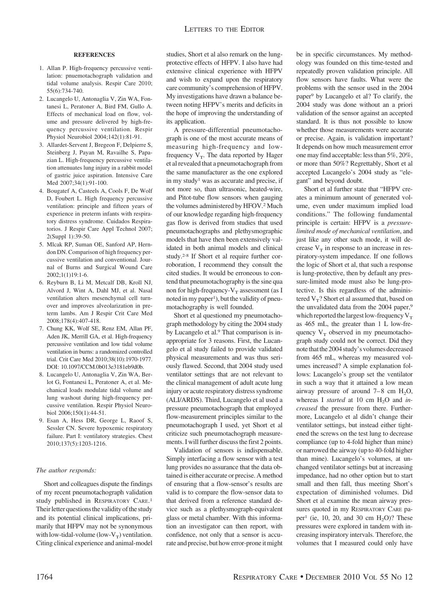#### **REFERENCES**

- 1. Allan P. High-frequency percussive ventilation: pnuemotachograph validation and tidal volume analysis. Respir Care 2010; 55(6):734-740.
- 2. Lucangelo U, Antonaglia V, Zin WA, Fontanesi L, Peratoner A, Bird FM, Gullo A. Effects of mechanical load on flow, volume and pressure delivered by high-frequency percussive ventilation. Respir Physiol Neurobiol 2004;142(1):81-91.
- 3. Allardet-Servent J, Bregeon F, Delpierre S, Steinberg J, Payan M, Ravailhe S, Papazian L. High-frequency percussive ventilation attenuates lung injury in a rabbit model of gastric juice aspiration. Intensive Care Med 2007;34(1):91-100.
- 4. Bougatef A, Casteels A, Cools F, De Wolf D, Foubert L. High frequency percussive ventilation: principle and fifteen years of experience in preterm infants with respiratory distress syndrome. Cuidados Respiratorios. J Respir Care Appl Technol 2007; 2(Suppl 1):39-50.
- 5. Mlcak RP, Suman OE, Sanford AP, Herndon DN. Comparison of high frequency percussive ventilation and conventional. Journal of Burns and Surgical Wound Care 2002;1(1)19:1-6.
- 6. Reyburn B, Li M, Metcalf DB, Kroll NJ, Alvord J, Wint A, Dahl MJ, et al. Nasal ventilation alters mesenchymal cell turnover and improves alveolarization in preterm lambs. Am J Respir Crit Care Med 2008;178(4):407-418.
- 7. Chung KK, Wolf SE, Renz EM, Allan PF, Aden JK, Merrill GA, et al. High-frequency percussive ventilation and low tidal volume ventilation in burns: a randomized controlled trial. Crit Care Med 2010;38(10):1970-1977. DOI: 10.1097/CCM.0b013e3181eb9d0b.
- 8. Lucangelo U, Antonaglia V, Zin WA, Berlot G, Fontanesi L, Peratoner A, et al. Mechanical loads modulate tidal volume and lung washout during high-frequency percussive ventilation. Respir Physiol Neurobiol 2006;150(1):44-51.
- 9. Esan A, Hess DR, George L, Raoof S, Sessler CN. Severe hypoxemic respiratory failure. Part I: ventilatory strategies. Chest 2010;137(5):1203-1216.

#### *The author responds:*

Short and colleagues dispute the findings of my recent pneumotachograph validation study published in RESPIRATORY CARE.<sup>1</sup> Their letter questions the validity of the study and its potential clinical implications, primarily that HFPV may not be synonymous with low-tidal-volume (low- $V_T$ ) ventilation. Citing clinical experience and animal-model

studies, Short et al also remark on the lungprotective effects of HFPV. I also have had extensive clinical experience with HFPV and wish to expand upon the respiratory care community's comprehension of HFPV. My investigations have drawn a balance between noting HFPV's merits and deficits in the hope of improving the understanding of its application.

A pressure-differential pneumotachograph is one of the most accurate means of measuring high-frequency and lowfrequency  $V_T$ . The data reported by Hager et al revealed that a pneumotachograph from the same manufacturer as the one explored in my study1 was as accurate and precise, if not more so, than ultrasonic, heated-wire, and Pitot-tube flow sensors when gauging the volumes administered by HFOV.2 Much of our knowledge regarding high-frequency gas flow is derived from studies that used pneumotachographs and plethysmographic models that have then been extensively validated in both animal models and clinical study.2-8 If Short et al require further corroboration, I recommend they consult the cited studies. It would be erroneous to contend that pneumotachography is the sine qua non for high-frequency- $V_T$  assessment (as I noted in my paper<sup>1</sup>), but the validity of pneumotachography is well founded.

Short et al questioned my pneumotachograph methodology by citing the 2004 study by Lucangelo et al.9 That comparison is inappropriate for 3 reasons. First, the Lucangelo et al study failed to provide validated physical measurements and was thus seriously flawed. Second, that 2004 study used ventilator settings that are not relevant to the clinical management of adult acute lung injury or acute respiratory distress syndrome (ALI/ARDS). Third, Lucangelo et al used a pressure pneumotachograph that employed flow-measurement principles similar to the pneumotachograph I used, yet Short et al criticize such pneumotachograph measurements. I will further discuss the first 2 points.

Validation of sensors is indispensable. Simply interfacing a flow sensor with a test lung provides no assurance that the data obtained is either accurate or precise. A method of ensuring that a flow-sensor's results are valid is to compare the flow-sensor data to that derived from a reference standard device such as a plethysmograph-equivalent glass or metal chamber. With this information an investigator can then report, with confidence, not only that a sensor is accurate and precise, but how error-prone it might be in specific circumstances. My methodology was founded on this time-tested and repeatedly proven validation principle. All flow sensors have faults. What were the problems with the sensor used in the 2004 paper9 by Lucangelo et al? To clarify, the 2004 study was done without an a priori validation of the sensor against an accepted standard. It is thus not possible to know whether those measurements were accurate or precise. Again, is validation important? It depends on how much measurement error one may find acceptable: less than 5%, 20%, or more than 50%? Regrettably, Short et al accepted Lucangelo's 2004 study as "elegant" and beyond doubt.

Short et al further state that "HFPV creates a minimum amount of generated volume, even under maximum implied load conditions." The following fundamental principle is certain: HFPV is a *pressurelimited mode of mechanical ventilation*, and just like any other such mode, it will decrease  $V<sub>T</sub>$  in response to an increase in respiratory-system impedance. If one follows the logic of Short et al, that such a response is lung-protective, then by default any pressure-limited mode must also be lung-protective. Is this regardless of the administered  $V_T$ ? Short et al assumed that, based on the unvalidated data from the 2004 paper,<sup>9</sup> which reported the largest low-frequency  $V_T$ as 465 mL, the greater than 1 L low-frequency  $V_T$  observed in my pneumotachograph study could not be correct. Did they note that the 2004 study's volumes decreased from 465 mL, whereas my measured volumes increased? A simple explanation follows: Lucangelo's group set the ventilator in such a way that it attained a low mean airway pressure of around  $7-8$  cm  $H<sub>2</sub>O$ , whereas I *started* at 10 cm H<sub>2</sub>O and *increased* the pressure from there. Furthermore, Lucangelo et al didn't change their ventilator settings, but instead either tightened the screws on the test lung to decrease compliance (up to 4-fold higher than mine) or narrowed the airway (up to 40-fold higher than mine). Lucangelo's volumes, at unchanged ventilator settings but at increasing impedance, had no other option but to start small and then fall, thus meeting Short's expectation of diminished volumes. Did Short et al examine the mean airway pressures quoted in my RESPIRATORY CARE paper<sup>1</sup> (ie, 10, 20, and 30 cm  $H_2O$ )? These pressures were explored in tandem with increasing inspiratory intervals. Therefore, the volumes that I measured could only have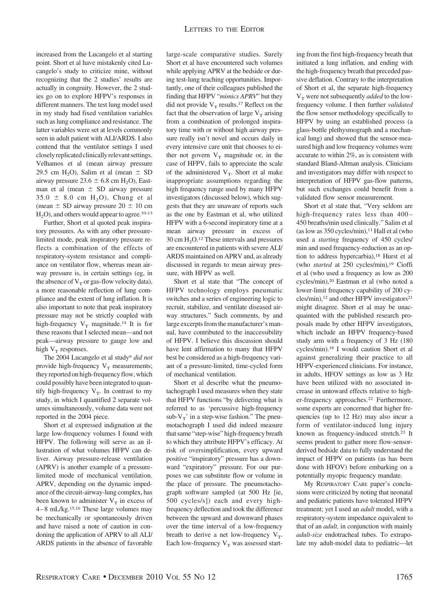increased from the Lucangelo et al starting point. Short et al have mistakenly cited Lucangelo's study to criticize mine, without recognizing that the 2 studies' results are actually in congruity. However, the 2 studies go on to explore HFPV's responses in different manners. The test lung model used in my study had fixed ventilation variables such as lung compliance and resistance. The latter variables were set at levels commonly seen in adult patient with ALI/ARDS. I also contend that the ventilator settings I used closely replicated clinically relevant settings. Velhamos et al (mean airway pressure 29.5 cm H<sub>2</sub>O), Salim et al (mean  $\pm$  SD airway pressure  $23.6 \pm 6.8$  cm H<sub>2</sub>O), Eastman et al (mean  $\pm$  SD airway pressure  $35.0 \pm 8.0 \text{ cm H}_2$ , Chung et al (mean  $\pm$  SD airway pressure 20  $\pm$  10 cm  $H<sub>2</sub>O$ , and others would appear to agree.<sup>10-13</sup>

Further, Short et al quoted peak inspiratory pressures. As with any other pressurelimited mode, peak inspiratory pressure reflects a combination of the effects of respiratory-system resistance and compliance on ventilator flow, whereas mean airway pressure is, in certain settings (eg, in the absence of  $V<sub>T</sub>$  or gas-flow velocity data), a more reasonable reflection of lung compliance and the extent of lung inflation. It is also important to note that peak inspiratory pressure may not be strictly coupled with high-frequency  $V_T$  magnitude.<sup>14</sup> It is for these reasons that I selected mean—and not peak—airway pressure to gauge low and high  $V_T$  responses.

The 2004 Lucangelo et al study9 *did not* provide high-frequency  $V_T$  measurements; they reported on high-frequency flow, which could possibly have been integrated to quantify high-frequency  $V_T$ . In contrast to my study, in which I quantified 2 separate volumes simultaneously, volume data were not reported in the 2004 piece.

Short et al expressed indignation at the large low-frequency volumes I found with HFPV. The following will serve as an illustration of what volumes HFPV can deliver. Airway pressure-release ventilation (APRV) is another example of a pressurelimited mode of mechanical ventilation. APRV, depending on the dynamic impedance of the circuit-airway-lung complex, has been known to administer  $V_T$  in excess of 4 – 8 mL/kg.15,16 These large volumes may be mechanically or spontaneously driven and have raised a note of caution in condoning the application of APRV to all ALI/ ARDS patients in the absence of favorable

large-scale comparative studies. Surely Short et al have encountered such volumes while applying APRV at the bedside or during test-lung teaching opportunities. Importantly, one of their colleagues published the finding that HFPV "*mimics APRV*" but they did not provide  $V_T$  results.<sup>17</sup> Reflect on the fact that the observation of large  $V_T$  arising from a combination of prolonged inspiratory time with or without high airway pressure really isn't novel and occurs daily in every intensive care unit that chooses to either not govern  $V_T$  magnitude or, in the case of HFPV, fails to appreciate the scale of the administered  $V_T$ . Short et al make inappropriate assumptions regarding the high frequency range used by many HFPV investigators (discussed below), which suggests that they are unaware of reports such as the one by Eastman et al, who utilized HFPV with a 6-second inspiratory time at a mean airway pressure in excess of  $30 \text{ cm H}_2O$ .<sup>12</sup> These intervals and pressures are encountered in patients with severe ALI/ ARDS maintained on APRV and, as already discussed in regards to mean airway pressure, with HFPV as well.

Short et al state that "The concept of HFPV technology employs pneumatic switches and a series of engineering logic to recruit, stabilize, and ventilate diseased airway structures." Such comments, by and large excerpts from the manufacturer's manual, have contributed to the inaccessibility of HFPV. I believe this discussion should have lent affirmation to many that HFPV best be considered as a high-frequency variant of a pressure-limited, time-cycled form of mechanical ventilation.

Short et al describe what the pneumotachograph I used measures when they state that HFPV functions "by delivering what is referred to as 'percussive high-frequency sub- $V_T'$  in a step-wise fashion." The pneumotachograph I used did indeed measure that same "step-wise" high-frequency breath to which they attribute HFPV's efficacy. At risk of oversimplification, every upward positive "inspiratory" pressure has a downward "expiratory" pressure. For our purposes we can substitute flow or volume in the place of pressure. The pneumotachograph software sampled (at 500 Hz [ie, 500 cycles/s]) each and every highfrequency deflection and took the difference between the upward and downward phases over the time interval of a low-frequency breath to derive a net low-frequency  $V_T$ . Each low-frequency  $\mathbf{V}_{\mathrm{T}}$  was assessed starting from the first high-frequency breath that initiated a lung inflation, and ending with the high-frequency breath that preceded passive deflation. Contrary to the interpretation of Short et al, the separate high-frequency V<sub>T</sub> were not subsequently *added* to the lowfrequency volume. I then further *validated* the flow sensor methodology specifically to HFPV by using an established process (a glass-bottle plethysmograph and a mechanical lung) and showed that the sensor-measured high and low frequency volumes were accurate to within 2%, as is consistent with standard Bland-Altman analysis. Clinicians and investigators may differ with respect to interpretation of HFPV gas-flow patterns, but such exchanges could benefit from a validated flow sensor measurement.

Short et al state that, "Very seldom are high-frequency rates less than 400-450 breaths/min used clinically." Salim et al (as low as  $350$  cycles/min),<sup>11</sup> Hall et al (who used a *starting* frequency of 450 cycles/ min and used frequency-reduction as an option to address hypercarbia),<sup>18</sup> Hurst et al (who *started* at 250 cycles/min),<sup>19</sup> Cioffi et al (who used a frequency as low as 200 cycles/min),20 Eastman et al (who noted a lower-limit frequency capability of 200 cycles/min),<sup>12</sup> and other HFPV investigators<sup>21</sup> might disagree. Short et al may be unacquainted with the published research proposals made by other HFPV investigators, which include an HFPV frequency-based study arm with a frequency of 3 Hz (180 cycles/min).18 I would caution Short et al against generalizing their practice to all HFPV-experienced clinicians. For instance, in adults, HFOV settings as low as 3 Hz have been utilized with no associated increase in untoward effects relative to higher-frequency approaches.22 Furthermore, some experts are concerned that higher frequencies (up to 12 Hz) may also incur a form of ventilator-induced lung injury known as frequency-induced stretch.23 It seems prudent to gather more flow-sensorderived bedside data to fully understand the impact of HFPV on patients (as has been done with HFOV) before embarking on a potentially myopic frequency mandate.

My RESPIRATORY CARE paper's conclusions were criticized by noting that neonatal and pediatric patients have tolerated HFPV treatment; yet I used an *adult* model, with a respiratory-system impedance equivalent to that of an *adult,* in conjunction with mainly *adult-size* endotracheal tubes. To extrapolate my adult-model data to pediatric—let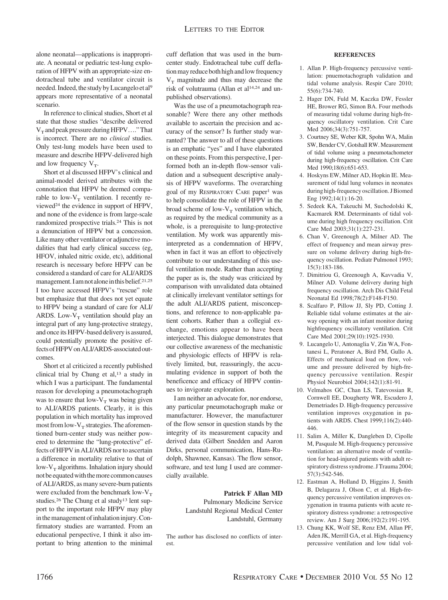alone neonatal—applications is inappropriate. A neonatal or pediatric test-lung exploration of HFPV with an appropriate-size endotracheal tube and ventilator circuit is needed. Indeed, the study by Lucangelo et al<sup>9</sup> appears more representative of a neonatal scenario.

In reference to clinical studies, Short et al state that those studies "describe delivered  $V_T$  and peak pressure during HFPV...." That is incorrect. There are no *clinical* studies. Only test-lung models have been used to measure and describe HFPV-delivered high and low frequency  $V_T$ .

Short et al discussed HFPV's clinical and animal-model derived attributes with the connotation that HFPV be deemed comparable to low- $V_T$  ventilation. I recently reviewed24 the evidence in support of HFPV, and none of the evidence is from large-scale randomized prospective trials.24 This is not a denunciation of HFPV but a concession. Like many other ventilator or adjunctive modalities that had early clinical success (eg, HFOV, inhaled nitric oxide, etc), additional research is necessary before HFPV can be considered a standard of care for ALI/ARDS management. I am not alone in this belief.<sup>21,25</sup> I too have accessed HFPV's "rescue" role but emphasize that that does not yet equate to HFPV being a standard of care for ALI/ ARDS. Low- $V_T$  ventilation should play an integral part of any lung-protective strategy, and once its HFPV-based delivery is assured, could potentially promote the positive effects ofHFPV onALI/ARDS-associated outcomes.

Short et al criticized a recently published clinical trial by Chung et al,13 a study in which I was a participant. The fundamental reason for developing a pneumotachograph was to ensure that low- $V_T$  was being given to ALI/ARDS patients. Clearly, it is this population in which mortality has improved most from low- $V_T$  strategies. The aforementioned burn-center study was neither powered to determine the "lung-protective" effects of HFPV in ALI/ARDS nor to ascertain a difference in mortality relative to that of low- $V_T$  algorithms. Inhalation injury should not be equated with the more common causes of ALI/ARDS, as many severe-burn patients were excluded from the benchmark low- $V_T$ studies.26 The Chung et al study13 lent support to the important role HFPV may play in the management of inhalation injury. Confirmatory studies are warranted. From an educational perspective, I think it also important to bring attention to the minimal cuff deflation that was used in the burncenter study. Endotracheal tube cuff deflation may reduce both high and low frequency  $V_T$  magnitude and thus may decrease the risk of volutrauma (Allan et al14,24 and unpublished observations).

Was the use of a pneumotachograph reasonable? Were there any other methods available to ascertain the precision and accuracy of the sensor? Is further study warranted? The answer to all of these questions is an emphatic "yes" and I have elaborated on these points. From this perspective, I performed both an in-depth flow-sensor validation and a subsequent descriptive analysis of HFPV waveforms. The overarching goal of my RESPIRATORY CARE paper<sup>1</sup> was to help consolidate the role of HFPV in the broad scheme of low- $V_T$  ventilation which, as required by the medical community as a whole, is a prerequisite to lung-protective ventilation. My work was apparently misinterpreted as a condemnation of HFPV, when in fact it was an effort to objectively contribute to our understanding of this useful ventilation mode. Rather than accepting the paper as is, the study was criticized by comparison with unvalidated data obtained at clinically irrelevant ventilator settings for the adult ALI/ARDS patient, misconceptions, and reference to non-applicable patient cohorts. Rather than a collegial exchange, emotions appear to have been interjected. This dialogue demonstrates that our collective awareness of the mechanistic and physiologic effects of HFPV is relatively limited, but, reassuringly, the accumulating evidence in support of both the beneficence and efficacy of HFPV continues to invigorate exploration.

I am neither an advocate for, nor endorse, any particular pneumotachograph make or manufacturer. However, the manufacturer of the flow sensor in question stands by the integrity of its measurement capacity and derived data (Gilbert Snedden and Aaron Dirks, personal communication, Hans-Rudolph, Shawnee, Kansas). The flow sensor, software, and test lung I used are commercially available.

#### **Patrick F Allan MD**

Pulmonary Medicine Service Landstuhl Regional Medical Center Landstuhl, Germany

The author has disclosed no conflicts of interest.

#### **REFERENCES**

- 1. Allan P. High-frequency percussive ventilation: pnuemotachograph validation and tidal volume analysis. Respir Care 2010; 55(6):734-740.
- 2. Hager DN, Fuld M, Kaczka DW, Fessler HE, Brower RG, Simon BA. Four methods of measuring tidal volume during high-frequency oscillatory ventilation. Crit Care Med 2006;34(3):751-757.
- 3. Courtney SE, Weber KR, Spohn WA, Malin SW, Bender CV, Gotshall RW. Measurement of tidal volume using a pneumotachometer during high-frequency oscillation. Crit Care Med 1990;18(6):651-653.
- 4. Hoskyns EW, Milner AD, Hopkin IE. Measurement of tidal lung volumes in neonates during high-frequency oscillation. J Biomed Eng 1992;14(1):16-20.
- 5. Sedeek KA, Takeuchi M, Suchodolski K, Kacmarek RM. Determinants of tidal volume during high frequency oscillation. Crit Care Med 2003;31(1):227-231.
- 6. Chan V, Greenough A, Milner AD. The effect of frequency and mean airway pressure on volume delivery during high-frequency oscillation. Pediatr Pulmonol 1993; 15(3):183-186.
- 7. Dimitriou G, Greenough A, Kavvadia V, Milner AD. Volume delivery during high frequency oscillation. Arch Dis Child Fetal Neonatal Ed 1998;78(2):F148-F150.
- 8. Scalfaro P, Pillow JJ, Sly PD, Cotting J. Reliable tidal volume estimates at the airway opening with an infant monitor during highfrequency oscillatory ventilation. Crit Care Med 2001;29(10):1925-1930.
- 9. Lucangelo U, Antonaglia V, Zin WA, Fontanesi L, Peratoner A, Bird FM, Gullo A. Effects of mechanical load on flow, volume and pressure delivered by high-frequency percussive ventilation. Respir Physiol Neurobiol 2004;142(1):81-91.
- 10. Velmahos GC, Chan LS, Tatevossian R, Cornwell EE, Dougherty WR, Escudero J, Demetriades D. High-frequency percussive ventilation improves oxygenation in patients with ARDS. Chest 1999;116(2):440- 446.
- 11. Salim A, Miller K, Dangleben D, Cipolle M, Pasquale M. High-frequency percussive ventilation: an alternative mode of ventilation for head-injured patients with adult respiratory distress syndrome. J Trauma 2004; 57(3):542-546.
- 12. Eastman A, Holland D, Higgins J, Smith B, Delagarza J, Olson C, et al. High-frequency percussive ventilation improves oxygenation in trauma patients with acute respiratory distress syndrome: a retrospective review. Am J Surg 2006;192(2):191-195.
- 13. Chung KK, Wolf SE, Renz EM, Allan PF, Aden JK, Merrill GA, et al. High-frequency percussive ventilation and low tidal vol-